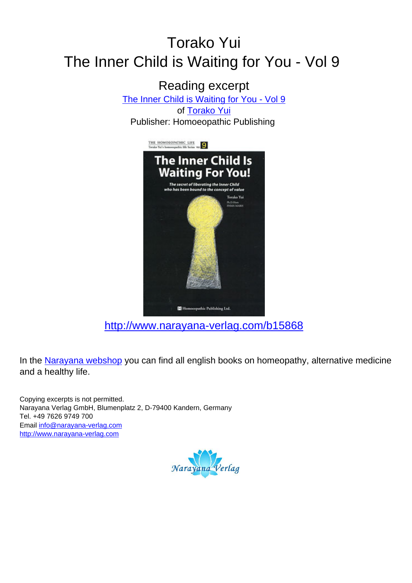# Torako Yui The Inner Child is Waiting for You - Vol 9





[http://www.narayana-verlag.com/b15868](http://www.narayana-verlag.com/The-Inner-Child-is-Waiting-for-You-Vol-9-Torako-Yui/b15868/partner/leseprobe)

In the [Narayana webshop](http://www.narayana-verlag.com/partner/leseprobe) you can find all english books on homeopathy, alternative medicine and a healthy life.

Copying excerpts is not permitted. Narayana Verlag GmbH, Blumenplatz 2, D-79400 Kandern, Germany Tel. +49 7626 9749 700 Email [info@narayana-verlag.com](mailto:info@narayana-verlag.com) [http://www.narayana-verlag.com](http://www.narayana-verlag.com/partner/leseprobe)

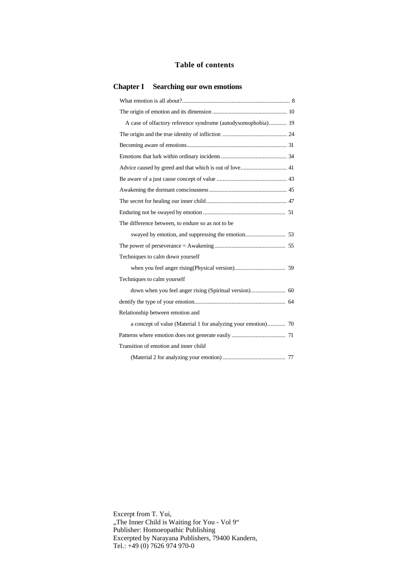### **Table of contents**

| A case of olfactory reference syndrome (autodysomophobia) 19 |
|--------------------------------------------------------------|
|                                                              |
|                                                              |
|                                                              |
|                                                              |
|                                                              |
|                                                              |
|                                                              |
|                                                              |
| The difference between, to endure so as not to be.           |
|                                                              |
|                                                              |
| Techniques to calm down yourself                             |
|                                                              |
| Techniques to calm yourself                                  |
|                                                              |
|                                                              |
| Relationship between emotion and                             |
|                                                              |
|                                                              |
| Transition of emotion and inner child                        |
|                                                              |

Excerpt from T. Yui, "The Inner Child is Waiting for You - Vol 9" Publisher: Homoeopathic Publishing Excerpted by Narayana Publishers, 79400 Kandern, Tel.: +49 (0) 7626 974 970-0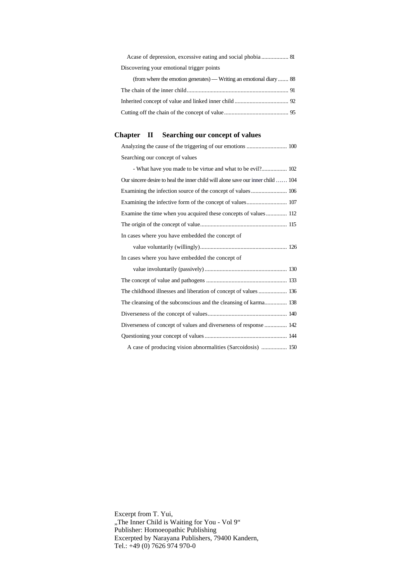| Acase of depression, excessive eating and social phobia 81         |  |
|--------------------------------------------------------------------|--|
| Discovering your emotional trigger points                          |  |
| (from where the emotion generates) — Writing an emotional diary 88 |  |
|                                                                    |  |
|                                                                    |  |
|                                                                    |  |

#### **Chapter II Searching our concept of values**

| Searching our concept of values                                                 |
|---------------------------------------------------------------------------------|
| - What have you made to be virtue and what to be evil? 102                      |
| Our sincere desire to heal the inner child will alone save our inner child  104 |
|                                                                                 |
|                                                                                 |
| Examine the time when you acquired these concepts of values 112                 |
|                                                                                 |
| In cases where you have embedded the concept of                                 |
|                                                                                 |
| In cases where you have embedded the concept of                                 |
|                                                                                 |
|                                                                                 |
| The childhood illnesses and liberation of concept of values  136                |
|                                                                                 |
|                                                                                 |
| Diverseness of concept of values and diverseness of response  142               |
|                                                                                 |
| A case of producing vision abnormalities (Sarcoidosis)  150                     |
|                                                                                 |

Excerpt from T. Yui, "The Inner Child is Waiting for You - Vol 9" Publisher: Homoeopathic Publishing Excerpted by Narayana Publishers, 79400 Kandern, Tel.: +49 (0) 7626 974 970-0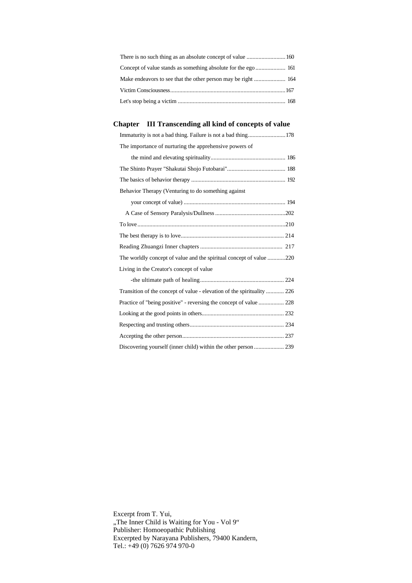#### **Chapter III Transcending all kind of concepts of value**

Excerpt from T. Yui, "The Inner Child is Waiting for You - Vol 9" Publisher: Homoeopathic Publishing Excerpted by Narayana Publishers, 79400 Kandern, Tel.: +49 (0) 7626 974 970-0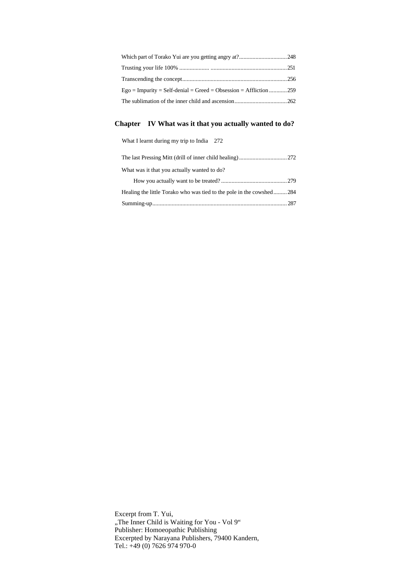| $Ego = Impurity = Self-denia1 = Greed = Obsession = Afflication  259$ |  |
|-----------------------------------------------------------------------|--|
|                                                                       |  |

#### **Chapter IV What was it that you actually wanted to do?**

What I learnt during my trip to India 272

| What was it that you actually wanted to do?                          |  |
|----------------------------------------------------------------------|--|
|                                                                      |  |
| Healing the little Torako who was tied to the pole in the cowshed284 |  |
|                                                                      |  |

Excerpt from T. Yui, "The Inner Child is Waiting for You - Vol 9" Publisher: Homoeopathic Publishing Excerpted by Narayana Publishers, 79400 Kandern, Tel.: +49 (0) 7626 974 970-0